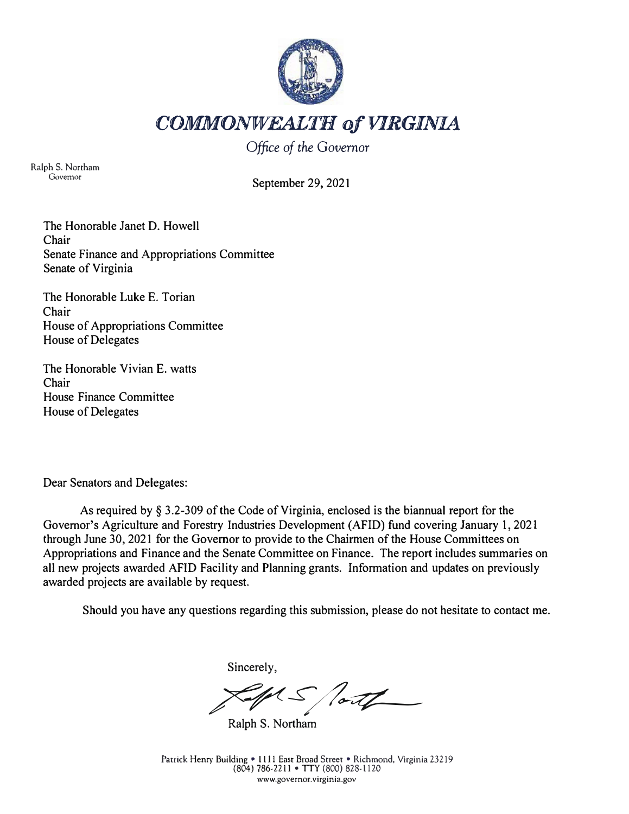

COMMONWEALTH of VIRGINIA

*Office of the Governor* 

Ralph S. Northam Governor

September 29, 2021

The Honorable Janet D. Howell Chair Senate Finance and Appropriations Committee Senate of Virginia

The Honorable Luke E. Torian Chair House of Appropriations Committee House of Delegates

The Honorable Vivian E. watts Chair House Finance Committee House of Delegates

Dear Senators and Delegates:

As required by§ 3.2-309 of the Code of Virginia, enclosed is the biannual report for the Governor's Agriculture and Forestry Industries Development (AFID) fund covering January 1, 2021 through June 30, 202 I for the Governor to provide to the Chairmen of the House Committees on Appropriations and Finance and the Senate Committee on Finance. The report includes summaries on all new projects awarded AFID Facility and Planning grants. Information and updates on previously awarded projects are available by request.

Should you have any questions regarding this submission, please do not hesitate to contact me.

Sincerely,

*7�s--/1�* 

Ralph S. Northam

Patrick Henry Building • 1111 East Broad Street • Richmond, Virginia 23219 (804) 786-2211 • TIY (800) 828-1120 www.govemor. virgin ia .gov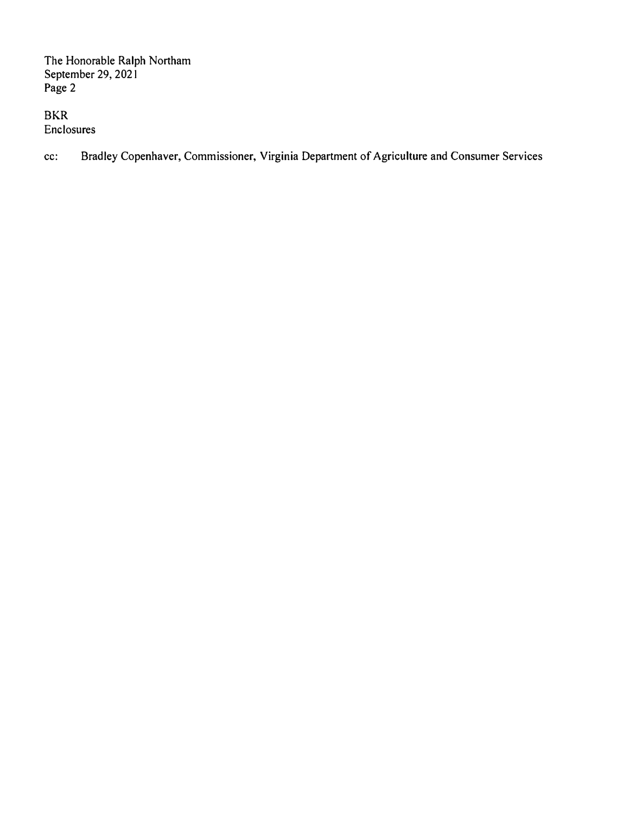BKR Enclosures

cc: Bradley Copenhaver, Commissioner, Virginia Department of Agriculture and Consumer Services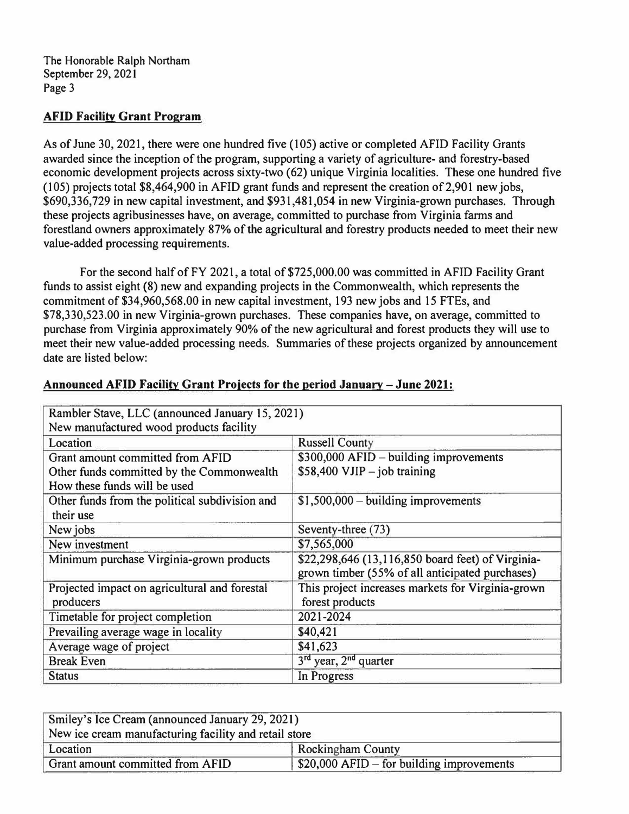# **AFID Facility Grant Program**

As of June 30, 2021, there were one hundred five (105) active or completed AFID Facility Grants awarded since the inception of the program, supporting a variety of agriculture- and forestry-based economic development projects across sixty-two (62) unique Virginia localities. These one hundred five (105) projects total \$8,464,900 in AFID grant funds and represent the creation of2,901 new jobs, \$690,336,729 in new capital investment, and \$931,481,054 in new Virginia-grown purchases. Through these projects agribusinesses have, on average, committed to purchase from Virginia farms and forestland owners approximately 87% of the agricultural and forestry products needed to meet their new value-added processing requirements.

For the second half of FY 2021, a total of \$725,000.00 was committed in AFID Facility Grant funds to assist eight (8) new and expanding projects in the Commonwealth, which represents the commitment of \$34,960,568.00 in new capital investment, 193 new jobs and 15 FTEs, and \$78,330,523.00 in new Virginia-grown purchases. These companies have, on average, committed to purchase from Virginia approximately 90% of the new agricultural and forest products they will use to meet their new value-added processing needs. Summaries of these projects organized by announcement date are listed below:

| Rambler Stave, LLC (announced January 15, 2021)                                                               |                                                                                                      |
|---------------------------------------------------------------------------------------------------------------|------------------------------------------------------------------------------------------------------|
| New manufactured wood products facility                                                                       |                                                                                                      |
| Location                                                                                                      | <b>Russell County</b>                                                                                |
| Grant amount committed from AFID<br>Other funds committed by the Commonwealth<br>How these funds will be used | $$300,000$ AFID – building improvements<br>$$58,400$ VJIP - job training                             |
| Other funds from the political subdivision and<br>their use                                                   | $$1,500,000 - building improvements$                                                                 |
| New jobs                                                                                                      | Seventy-three (73)                                                                                   |
| New investment                                                                                                | \$7,565,000                                                                                          |
| Minimum purchase Virginia-grown products                                                                      | \$22,298,646 (13,116,850 board feet) of Virginia-<br>grown timber (55% of all anticipated purchases) |
| Projected impact on agricultural and forestal<br>producers                                                    | This project increases markets for Virginia-grown<br>forest products                                 |
| Timetable for project completion                                                                              | 2021-2024                                                                                            |
| Prevailing average wage in locality                                                                           | \$40,421                                                                                             |
| Average wage of project                                                                                       | \$41,623                                                                                             |
| <b>Break Even</b>                                                                                             | 3 <sup>rd</sup> year, 2 <sup>nd</sup> quarter                                                        |
| <b>Status</b>                                                                                                 | In Progress                                                                                          |

# **Announced AFID Facility Grant Proiects for the period January - June 2021:**

| Smiley's Ice Cream (announced January 29, 2021)       |                                            |
|-------------------------------------------------------|--------------------------------------------|
| New ice cream manufacturing facility and retail store |                                            |
| Location                                              | <b>Rockingham County</b>                   |
| Grant amount committed from AFID                      | $$20,000$ AFID – for building improvements |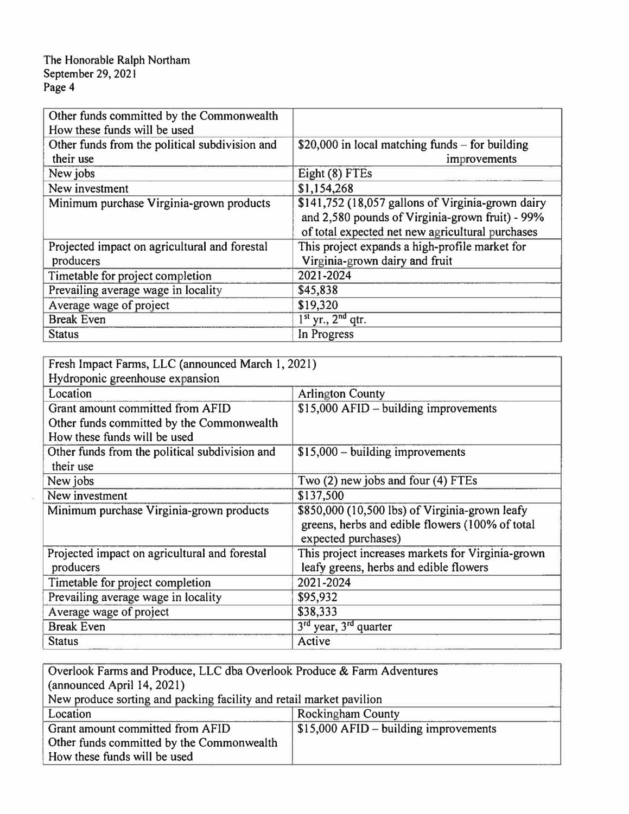| Other funds committed by the Commonwealth<br>How these funds will be used |                                                                                                                                                          |
|---------------------------------------------------------------------------|----------------------------------------------------------------------------------------------------------------------------------------------------------|
| Other funds from the political subdivision and<br>their use               | \$20,000 in local matching funds $-$ for building<br>improvements                                                                                        |
| New jobs                                                                  | Eight (8) FTEs                                                                                                                                           |
| New investment                                                            | \$1,154,268                                                                                                                                              |
| Minimum purchase Virginia-grown products                                  | \$141,752 (18,057 gallons of Virginia-grown dairy<br>and 2,580 pounds of Virginia-grown fruit) - 99%<br>of total expected net new agricultural purchases |
| Projected impact on agricultural and forestal<br>producers                | This project expands a high-profile market for<br>Virginia-grown dairy and fruit                                                                         |
| Timetable for project completion                                          | 2021-2024                                                                                                                                                |
| Prevailing average wage in locality                                       | \$45,838                                                                                                                                                 |
| Average wage of project                                                   | \$19,320                                                                                                                                                 |
| <b>Break Even</b>                                                         | $1st$ yr., $2nd$ qtr.                                                                                                                                    |
| <b>Status</b>                                                             | In Progress                                                                                                                                              |

| Fresh Impact Farms, LLC (announced March 1, 2021) |                                                                                                                          |  |
|---------------------------------------------------|--------------------------------------------------------------------------------------------------------------------------|--|
| Hydroponic greenhouse expansion                   |                                                                                                                          |  |
| Location                                          | <b>Arlington County</b>                                                                                                  |  |
| Grant amount committed from AFID                  | $$15,000$ AFID – building improvements                                                                                   |  |
| Other funds committed by the Commonwealth         |                                                                                                                          |  |
| How these funds will be used                      |                                                                                                                          |  |
| Other funds from the political subdivision and    | $$15,000 - building$ improvements                                                                                        |  |
| their use                                         |                                                                                                                          |  |
| New jobs                                          | Two (2) new jobs and four (4) FTEs                                                                                       |  |
| New investment                                    | \$137,500                                                                                                                |  |
| Minimum purchase Virginia-grown products          | \$850,000 (10,500 lbs) of Virginia-grown leafy<br>greens, herbs and edible flowers (100% of total<br>expected purchases) |  |
| Projected impact on agricultural and forestal     | This project increases markets for Virginia-grown                                                                        |  |
| producers                                         | leafy greens, herbs and edible flowers                                                                                   |  |
| Timetable for project completion                  | 2021-2024                                                                                                                |  |
| Prevailing average wage in locality               | \$95,932                                                                                                                 |  |
| Average wage of project                           | \$38,333                                                                                                                 |  |
| <b>Break Even</b>                                 | 3rd year, 3rd quarter                                                                                                    |  |
| <b>Status</b>                                     | Active                                                                                                                   |  |

| Overlook Farms and Produce, LLC dba Overlook Produce & Farm Adventures |                                        |  |
|------------------------------------------------------------------------|----------------------------------------|--|
| (announced April 14, 2021)                                             |                                        |  |
| New produce sorting and packing facility and retail market pavilion    |                                        |  |
| Location                                                               | <b>Rockingham County</b>               |  |
| Grant amount committed from AFID                                       | $$15,000$ AFID – building improvements |  |
| Other funds committed by the Commonwealth                              |                                        |  |
| How these funds will be used                                           |                                        |  |
|                                                                        |                                        |  |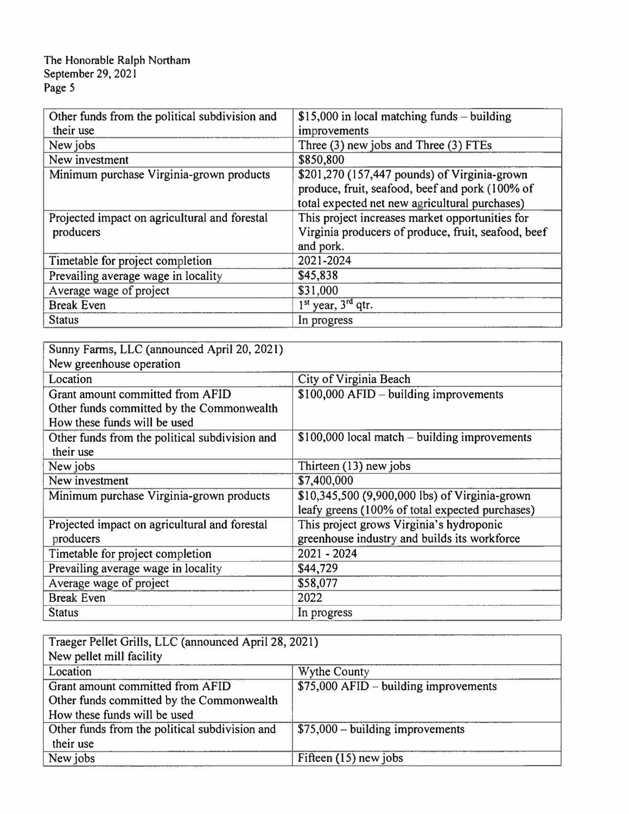| Other funds from the political subdivision and<br>their use | $$15,000$ in local matching funds - building<br>improvements                                                                                      |
|-------------------------------------------------------------|---------------------------------------------------------------------------------------------------------------------------------------------------|
| New jobs                                                    | Three (3) new jobs and Three (3) FTEs                                                                                                             |
| New investment                                              | \$850,800                                                                                                                                         |
| Minimum purchase Virginia-grown products                    | \$201,270 (157,447 pounds) of Virginia-grown<br>produce, fruit, seafood, beef and pork (100% of<br>total expected net new agricultural purchases) |
| Projected impact on agricultural and forestal<br>producers  | This project increases market opportunities for<br>Virginia producers of produce, fruit, seafood, beef<br>and pork.                               |
| Timetable for project completion                            | 2021-2024                                                                                                                                         |
| Prevailing average wage in locality                         | \$45,838                                                                                                                                          |
| Average wage of project                                     | \$31,000                                                                                                                                          |
| <b>Break Even</b>                                           | 1 <sup>st</sup> year, 3 <sup>rd</sup> qtr.                                                                                                        |
| <b>Status</b>                                               | In progress                                                                                                                                       |

| Sunny Farms, LLC (announced April 20, 2021)    |                                                 |
|------------------------------------------------|-------------------------------------------------|
| New greenhouse operation                       |                                                 |
| Location                                       | City of Virginia Beach                          |
| Grant amount committed from AFID               | \$100,000 AFID - building improvements          |
| Other funds committed by the Commonwealth      |                                                 |
| How these funds will be used                   |                                                 |
| Other funds from the political subdivision and | $$100,000$ local match – building improvements  |
| their use                                      |                                                 |
| New jobs                                       | Thirteen (13) new jobs                          |
| New investment                                 | \$7,400,000                                     |
| Minimum purchase Virginia-grown products       | \$10,345,500 (9,900,000 lbs) of Virginia-grown  |
|                                                | leafy greens (100% of total expected purchases) |
| Projected impact on agricultural and forestal  | This project grows Virginia's hydroponic        |
| producers                                      | greenhouse industry and builds its workforce    |
| Timetable for project completion               | 2021 - 2024                                     |
| Prevailing average wage in locality            | \$44,729                                        |
| Average wage of project                        | \$58,077                                        |
| <b>Break Even</b>                              | 2022                                            |
| <b>Status</b>                                  | In progress                                     |

| Traeger Pellet Grills, LLC (announced April 28, 2021) |                                        |
|-------------------------------------------------------|----------------------------------------|
| New pellet mill facility                              |                                        |
| Location                                              | <b>Wythe County</b>                    |
| Grant amount committed from AFID                      | $$75,000$ AFID – building improvements |
| Other funds committed by the Commonwealth             |                                        |
| How these funds will be used                          |                                        |
| Other funds from the political subdivision and        | $$75,000 - building improvements$      |
| their use                                             |                                        |
| New jobs                                              | Fifteen $(15)$ new jobs                |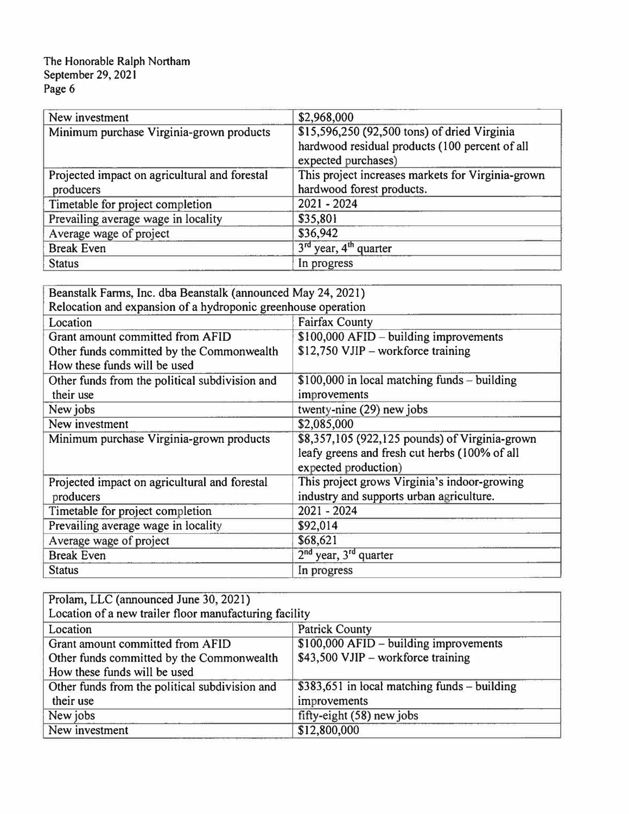| New investment                                             | \$2,968,000                                                                                    |
|------------------------------------------------------------|------------------------------------------------------------------------------------------------|
| Minimum purchase Virginia-grown products                   | \$15,596,250 (92,500 tons) of dried Virginia<br>hardwood residual products (100 percent of all |
|                                                            | expected purchases)                                                                            |
| Projected impact on agricultural and forestal<br>producers | This project increases markets for Virginia-grown<br>hardwood forest products.                 |
| Timetable for project completion                           | $2021 - 2024$                                                                                  |
| Prevailing average wage in locality                        | \$35,801                                                                                       |
| Average wage of project                                    | \$36,942                                                                                       |
| <b>Break Even</b>                                          | 3 <sup>rd</sup> year, 4 <sup>th</sup> quarter                                                  |
| <b>Status</b>                                              | In progress                                                                                    |

| Beanstalk Farms, Inc. dba Beanstalk (announced May 24, 2021)  |                                                |
|---------------------------------------------------------------|------------------------------------------------|
| Relocation and expansion of a hydroponic greenhouse operation |                                                |
| Location                                                      | <b>Fairfax County</b>                          |
| Grant amount committed from AFID                              | $$100,000$ AFID – building improvements        |
| Other funds committed by the Commonwealth                     | \$12,750 VJIP - workforce training             |
| How these funds will be used                                  |                                                |
| Other funds from the political subdivision and                | $$100,000$ in local matching funds – building  |
| their use                                                     | improvements                                   |
| New jobs                                                      | twenty-nine (29) new jobs                      |
| New investment                                                | \$2,085,000                                    |
| Minimum purchase Virginia-grown products                      | \$8,357,105 (922,125 pounds) of Virginia-grown |
|                                                               | leafy greens and fresh cut herbs (100% of all  |
|                                                               | expected production)                           |
| Projected impact on agricultural and forestal                 | This project grows Virginia's indoor-growing   |
| producers                                                     | industry and supports urban agriculture.       |
| Timetable for project completion                              | $2021 - 2024$                                  |
| Prevailing average wage in locality                           | \$92,014                                       |
| Average wage of project                                       | \$68,621                                       |
| <b>Break Even</b>                                             | $2nd$ year, $3rd$ quarter                      |
| <b>Status</b>                                                 | In progress                                    |

| Prolam, LLC (announced June 30, 2021)                  |                                              |
|--------------------------------------------------------|----------------------------------------------|
| Location of a new trailer floor manufacturing facility |                                              |
| Location                                               | <b>Patrick County</b>                        |
| Grant amount committed from AFID                       | $$100,000$ AFID – building improvements      |
| Other funds committed by the Commonwealth              | \$43,500 VJIP – workforce training           |
| How these funds will be used                           |                                              |
| Other funds from the political subdivision and         | \$383,651 in local matching funds – building |
| their use                                              | improvements                                 |
| New jobs                                               | fifty-eight (58) new jobs                    |
| New investment                                         | \$12,800,000                                 |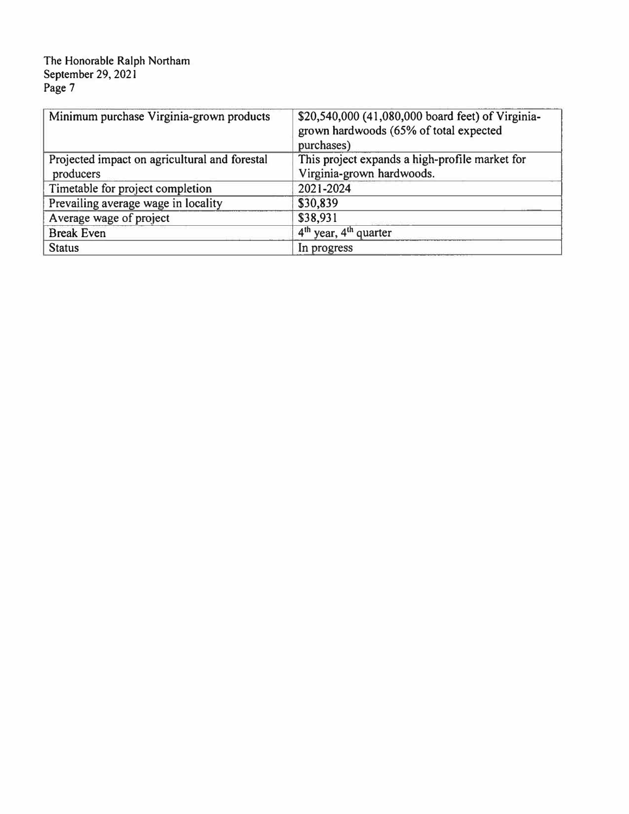| Minimum purchase Virginia-grown products      | \$20,540,000 (41,080,000 board feet) of Virginia-<br>grown hardwoods (65% of total expected<br>purchases) |
|-----------------------------------------------|-----------------------------------------------------------------------------------------------------------|
| Projected impact on agricultural and forestal | This project expands a high-profile market for                                                            |
| producers                                     | Virginia-grown hardwoods.                                                                                 |
| Timetable for project completion              | 2021-2024                                                                                                 |
| Prevailing average wage in locality           | \$30,839                                                                                                  |
| Average wage of project                       | \$38,931                                                                                                  |
| <b>Break Even</b>                             | $4th$ year, $4th$ quarter                                                                                 |
| <b>Status</b>                                 | In progress                                                                                               |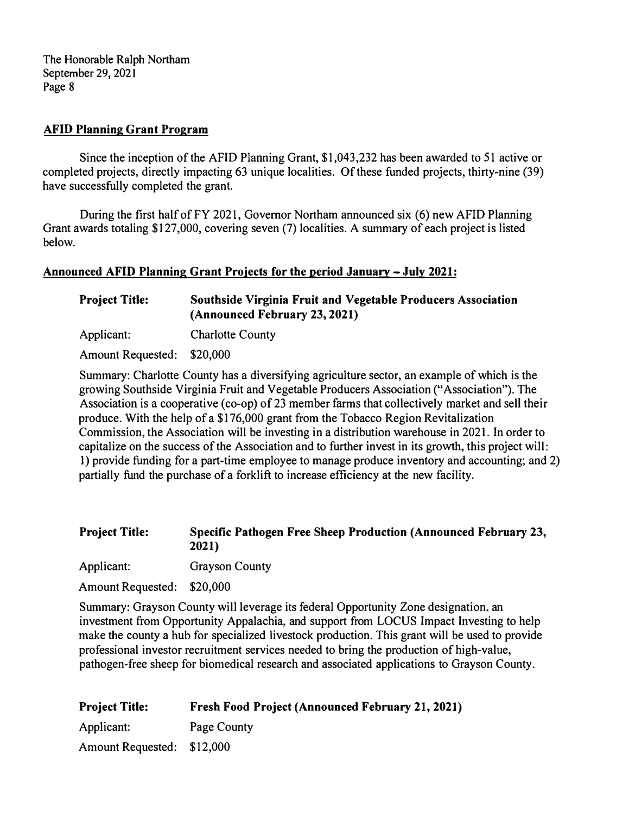#### **AFID Planning Grant Program**

Since the inception of the AFID Planning Grant, \$1,043,232 has been awarded to 51 active or completed projects, directly impacting 63 unique localities. Of these funded projects, thirty-nine (39) have successfully completed the grant.

During the first half of FY 2021, Governor Northam announced six ( 6) new AFID Planning Grant awards totaling \$127,000, covering seven (7) localities. A summary of each project is listed below.

#### **Announced AFID Planning Grant Proiects for the period January - July 2021:**

**Project Title: Southside Virginia Fruit and Vegetable Producers Association (Announced February 23, 2021)** 

Applicant: Charlotte County

Amount Requested: \$20,000

Summary: Charlotte County has a diversifying agriculture sector, an example of which is the growing Southside Virginia Fruit and Vegetable Producers Association ("Association"). The Association is a cooperative (co-op) of 23 member farms that collectively market and sell their produce. With the help of a \$176,000 grant from the Tobacco Region Revitalization Commission, the Association will be investing in a distribution warehouse in 2021. In order to capitalize on the success of the Association and to further invest in its growth, this project will: 1) provide funding for a part-time employee to manage produce inventory and accounting; and 2) partially fund the purchase of a forklift to increase efficiency at the new facility.

#### **Project Title: Specific Pathogen Free Sheep Production (Announced February 23, 2021)**

Applicant: Grayson County

Amount Requested: \$20,000

Summary: Grayson County will leverage its federal Opportunity Zone designation, an investment from Opportunity Appalachia, and support from LOCUS Impact Investing to help make the county a hub for specialized livestock production. This grant will be used to provide professional investor recruitment services needed to bring the production of high-value, pathogen-free sheep for biomedical research and associated applications to Grayson County.

| <b>Project Title:</b>      | <b>Fresh Food Project (Announced February 21, 2021)</b> |
|----------------------------|---------------------------------------------------------|
| Applicant:                 | Page County                                             |
| Amount Requested: \$12,000 |                                                         |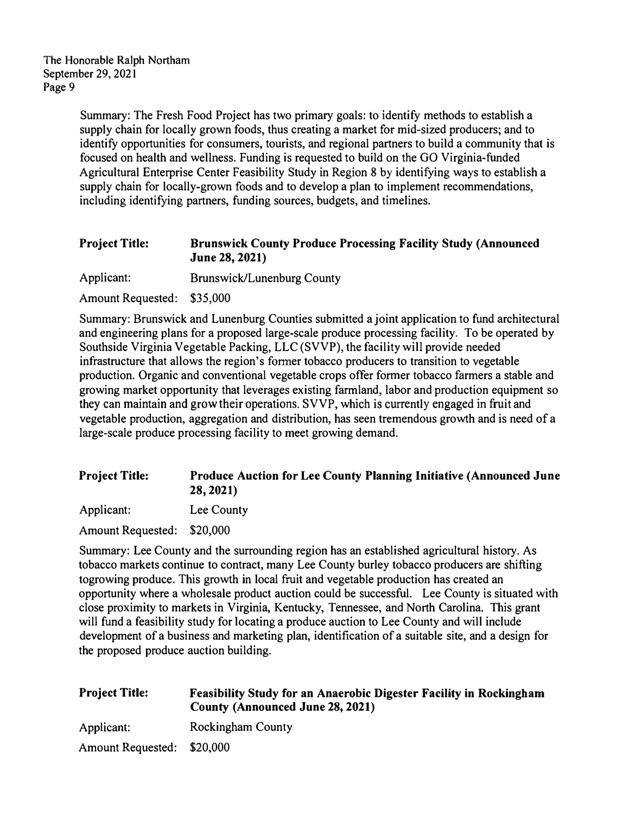> Summary: The Fresh Food Project has two primary goals: to identify methods to establish a supply chain for locally grown foods, thus creating a market for mid-sized producers; and to identify opportunities for consumers, tourists, and regional partners to build a community that is focused on health and wellness. Funding is requested to build on the GO Virginia-funded Agricultural Enterprise Center Feasibility Study in Region 8 by identifying ways to establish a supply chain for locally-grown foods and to develop a plan to implement recommendations, including identifying partners, funding sources, budgets, and timelines.

# **Project Title: Brunswick County Produce Processing Facility Study (Announced June 28, 2021)**

Applicant: Brunswick/Lunenburg County

Amount Requested: \$35,000

Summary: Brunswick and Lunenburg Counties submitted a joint application to fund architectural and engineering plans for a proposed large-scale produce processing facility. To be operated by Southside Virginia Vegetable Packing, LLC (SVVP), the facility will provide needed infrastructure that allows the region's former tobacco producers to transition to vegetable production. Organic and conventional vegetable crops offer former tobacco farmers a stable and growing market opportunity that leverages existing farmland, labor and production equipment so they can maintain and grow their operations. SVVP, which is currently engaged in fruit and vegetable production, aggregation and distribution, has seen tremendous growth and is need of a large-scale produce processing facility to meet growing demand.

# **Project Title: Produce Auction for Lee County Planning Initiative (Announced June 28, 2021)**

Applicant: Lee County

Amount Requested: \$20,000

Summary: Lee County and the surrounding region has an established agricultural history. As tobacco markets continue to contract, many Lee County burley tobacco producers are shifting togrowing produce. This growth in local fruit and vegetable production has created an opportunity where a wholesale product auction could be successful. Lee County is situated with close proximity to markets in Virginia, Kentucky, Tennessee, and North Carolina. This grant will fund a feasibility study for locating a produce auction to Lee County and will include development of a business and marketing plan, identification of a suitable site, and a design for the proposed produce auction building.

| <b>Project Title:</b>      | <b>Feasibility Study for an Anaerobic Digester Facility in Rockingham</b><br><b>County (Announced June 28, 2021)</b> |
|----------------------------|----------------------------------------------------------------------------------------------------------------------|
| Applicant:                 | <b>Rockingham County</b>                                                                                             |
| Amount Requested: \$20,000 |                                                                                                                      |